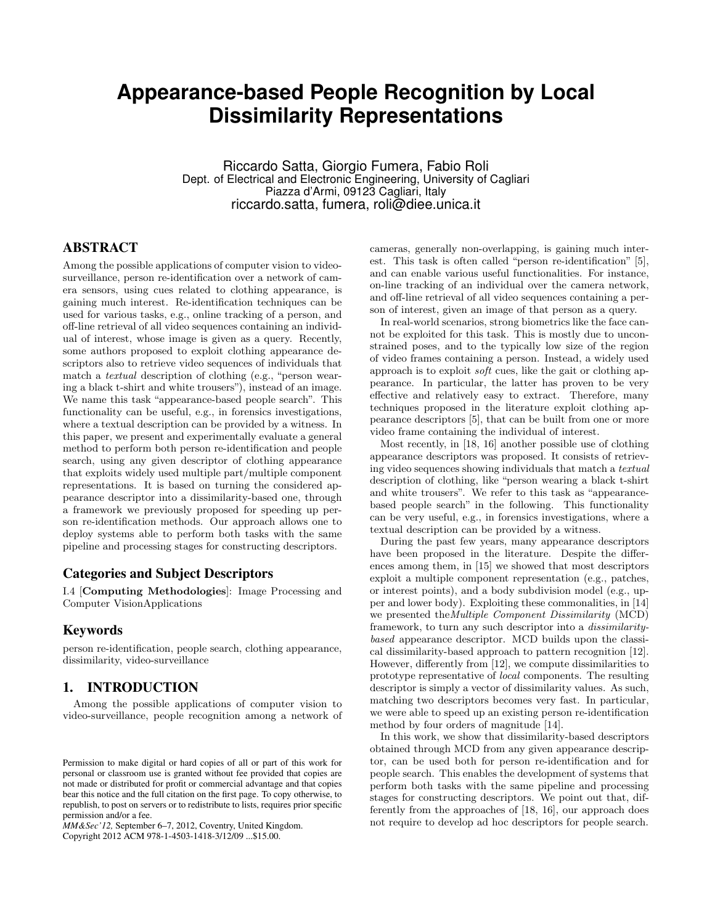# **Appearance-based People Recognition by Local Dissimilarity Representations**

Riccardo Satta, Giorgio Fumera, Fabio Roli Dept. of Electrical and Electronic Engineering, University of Cagliari Piazza d'Armi, 09123 Cagliari, Italy riccardo.satta, fumera, roli@diee.unica.it

## ABSTRACT

Among the possible applications of computer vision to videosurveillance, person re-identification over a network of camera sensors, using cues related to clothing appearance, is gaining much interest. Re-identification techniques can be used for various tasks, e.g., online tracking of a person, and off-line retrieval of all video sequences containing an individual of interest, whose image is given as a query. Recently, some authors proposed to exploit clothing appearance descriptors also to retrieve video sequences of individuals that match a textual description of clothing (e.g., "person wearing a black t-shirt and white trousers"), instead of an image. We name this task "appearance-based people search". This functionality can be useful, e.g., in forensics investigations, where a textual description can be provided by a witness. In this paper, we present and experimentally evaluate a general method to perform both person re-identification and people search, using any given descriptor of clothing appearance that exploits widely used multiple part/multiple component representations. It is based on turning the considered appearance descriptor into a dissimilarity-based one, through a framework we previously proposed for speeding up person re-identification methods. Our approach allows one to deploy systems able to perform both tasks with the same pipeline and processing stages for constructing descriptors.

#### Categories and Subject Descriptors

I.4 [Computing Methodologies]: Image Processing and Computer VisionApplications

## Keywords

person re-identification, people search, clothing appearance, dissimilarity, video-surveillance

## 1. INTRODUCTION

Among the possible applications of computer vision to video-surveillance, people recognition among a network of

*MM&Sec'12,* September 6–7, 2012, Coventry, United Kingdom. Copyright 2012 ACM 978-1-4503-1418-3/12/09 ...\$15.00.

cameras, generally non-overlapping, is gaining much interest. This task is often called "person re-identification" [5], and can enable various useful functionalities. For instance, on-line tracking of an individual over the camera network, and off-line retrieval of all video sequences containing a person of interest, given an image of that person as a query.

In real-world scenarios, strong biometrics like the face cannot be exploited for this task. This is mostly due to unconstrained poses, and to the typically low size of the region of video frames containing a person. Instead, a widely used approach is to exploit soft cues, like the gait or clothing appearance. In particular, the latter has proven to be very effective and relatively easy to extract. Therefore, many techniques proposed in the literature exploit clothing appearance descriptors [5], that can be built from one or more video frame containing the individual of interest.

Most recently, in [18, 16] another possible use of clothing appearance descriptors was proposed. It consists of retrieving video sequences showing individuals that match a textual description of clothing, like "person wearing a black t-shirt and white trousers". We refer to this task as "appearancebased people search" in the following. This functionality can be very useful, e.g., in forensics investigations, where a textual description can be provided by a witness.

During the past few years, many appearance descriptors have been proposed in the literature. Despite the differences among them, in [15] we showed that most descriptors exploit a multiple component representation (e.g., patches, or interest points), and a body subdivision model (e.g., upper and lower body). Exploiting these commonalities, in [14] we presented theMultiple Component Dissimilarity (MCD) framework, to turn any such descriptor into a dissimilaritybased appearance descriptor. MCD builds upon the classical dissimilarity-based approach to pattern recognition [12]. However, differently from [12], we compute dissimilarities to prototype representative of local components. The resulting descriptor is simply a vector of dissimilarity values. As such, matching two descriptors becomes very fast. In particular, we were able to speed up an existing person re-identification method by four orders of magnitude [14].

In this work, we show that dissimilarity-based descriptors obtained through MCD from any given appearance descriptor, can be used both for person re-identification and for people search. This enables the development of systems that perform both tasks with the same pipeline and processing stages for constructing descriptors. We point out that, differently from the approaches of [18, 16], our approach does not require to develop ad hoc descriptors for people search.

Permission to make digital or hard copies of all or part of this work for personal or classroom use is granted without fee provided that copies are not made or distributed for profit or commercial advantage and that copies bear this notice and the full citation on the first page. To copy otherwise, to republish, to post on servers or to redistribute to lists, requires prior specific permission and/or a fee.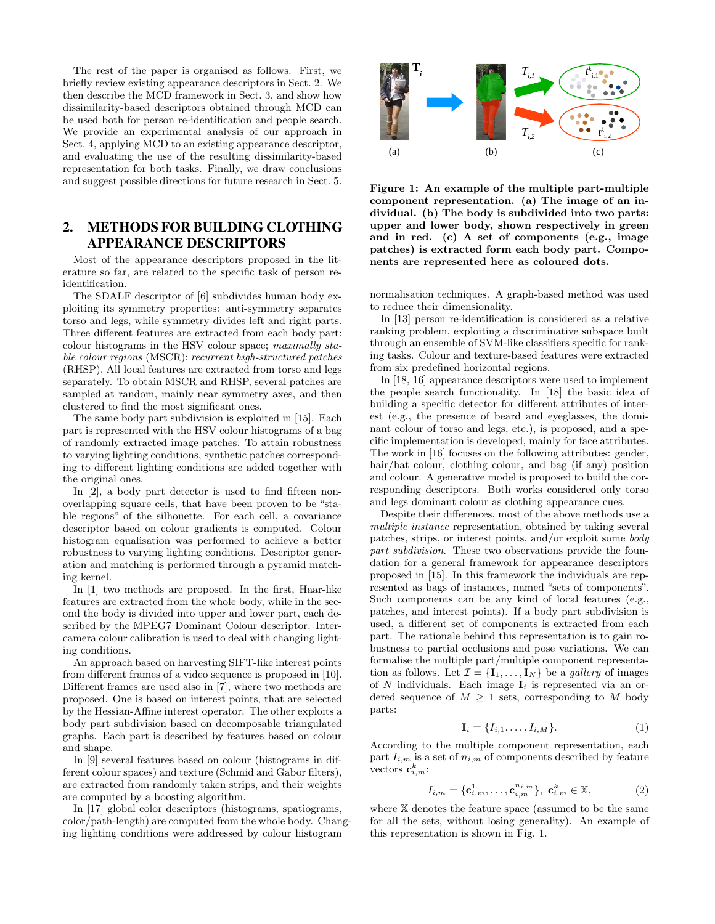The rest of the paper is organised as follows. First, we briefly review existing appearance descriptors in Sect. 2. We then describe the MCD framework in Sect. 3, and show how dissimilarity-based descriptors obtained through MCD can be used both for person re-identification and people search. We provide an experimental analysis of our approach in Sect. 4, applying MCD to an existing appearance descriptor, and evaluating the use of the resulting dissimilarity-based representation for both tasks. Finally, we draw conclusions and suggest possible directions for future research in Sect. 5.

# 2. METHODS FOR BUILDING CLOTHING APPEARANCE DESCRIPTORS

Most of the appearance descriptors proposed in the literature so far, are related to the specific task of person reidentification.

The SDALF descriptor of [6] subdivides human body exploiting its symmetry properties: anti-symmetry separates torso and legs, while symmetry divides left and right parts. Three different features are extracted from each body part: colour histograms in the HSV colour space; maximally stable colour regions (MSCR); recurrent high-structured patches (RHSP). All local features are extracted from torso and legs separately. To obtain MSCR and RHSP, several patches are sampled at random, mainly near symmetry axes, and then clustered to find the most significant ones.

The same body part subdivision is exploited in [15]. Each part is represented with the HSV colour histograms of a bag of randomly extracted image patches. To attain robustness to varying lighting conditions, synthetic patches corresponding to different lighting conditions are added together with the original ones.

In [2], a body part detector is used to find fifteen nonoverlapping square cells, that have been proven to be "stable regions" of the silhouette. For each cell, a covariance descriptor based on colour gradients is computed. Colour histogram equalisation was performed to achieve a better robustness to varying lighting conditions. Descriptor generation and matching is performed through a pyramid matching kernel.

In [1] two methods are proposed. In the first, Haar-like features are extracted from the whole body, while in the second the body is divided into upper and lower part, each described by the MPEG7 Dominant Colour descriptor. Intercamera colour calibration is used to deal with changing lighting conditions.

An approach based on harvesting SIFT-like interest points from different frames of a video sequence is proposed in [10]. Different frames are used also in [7], where two methods are proposed. One is based on interest points, that are selected by the Hessian-Affine interest operator. The other exploits a body part subdivision based on decomposable triangulated graphs. Each part is described by features based on colour and shape.

In [9] several features based on colour (histograms in different colour spaces) and texture (Schmid and Gabor filters), are extracted from randomly taken strips, and their weights are computed by a boosting algorithm.

In [17] global color descriptors (histograms, spatiograms, color/path-length) are computed from the whole body. Changing lighting conditions were addressed by colour histogram



Figure 1: An example of the multiple part-multiple component representation. (a) The image of an individual. (b) The body is subdivided into two parts: upper and lower body, shown respectively in green and in red. (c) A set of components (e.g., image patches) is extracted form each body part. Components are represented here as coloured dots.

normalisation techniques. A graph-based method was used to reduce their dimensionality.

In [13] person re-identification is considered as a relative ranking problem, exploiting a discriminative subspace built through an ensemble of SVM-like classifiers specific for ranking tasks. Colour and texture-based features were extracted from six predefined horizontal regions.

In [18, 16] appearance descriptors were used to implement the people search functionality. In [18] the basic idea of building a specific detector for different attributes of interest (e.g., the presence of beard and eyeglasses, the dominant colour of torso and legs, etc.), is proposed, and a specific implementation is developed, mainly for face attributes. The work in [16] focuses on the following attributes: gender, hair/hat colour, clothing colour, and bag (if any) position and colour. A generative model is proposed to build the corresponding descriptors. Both works considered only torso and legs dominant colour as clothing appearance cues.

Despite their differences, most of the above methods use a multiple instance representation, obtained by taking several patches, strips, or interest points, and/or exploit some body part subdivision. These two observations provide the foundation for a general framework for appearance descriptors proposed in [15]. In this framework the individuals are represented as bags of instances, named "sets of components". Such components can be any kind of local features (e.g., patches, and interest points). If a body part subdivision is used, a different set of components is extracted from each part. The rationale behind this representation is to gain robustness to partial occlusions and pose variations. We can formalise the multiple part/multiple component representation as follows. Let  $\mathcal{I} = \{\mathbf{I}_1, \dots, \mathbf{I}_N\}$  be a *gallery* of images of N individuals. Each image  $\mathbf{I}_i$  is represented via an ordered sequence of  $M \geq 1$  sets, corresponding to M body parts:

$$
\mathbf{I}_{i} = \{I_{i,1}, \dots, I_{i,M}\}.
$$
 (1)

According to the multiple component representation, each part  $I_{i,m}$  is a set of  $n_{i,m}$  of components described by feature vectors  $\mathbf{c}^k_{i,m}$ :

$$
I_{i,m} = {\mathbf{c}_{i,m}^1, \dots, \mathbf{c}_{i,m}^{n_{i,m}}}, \ \mathbf{c}_{i,m}^k \in \mathbb{X},
$$
 (2)

where X denotes the feature space (assumed to be the same for all the sets, without losing generality). An example of this representation is shown in Fig. 1.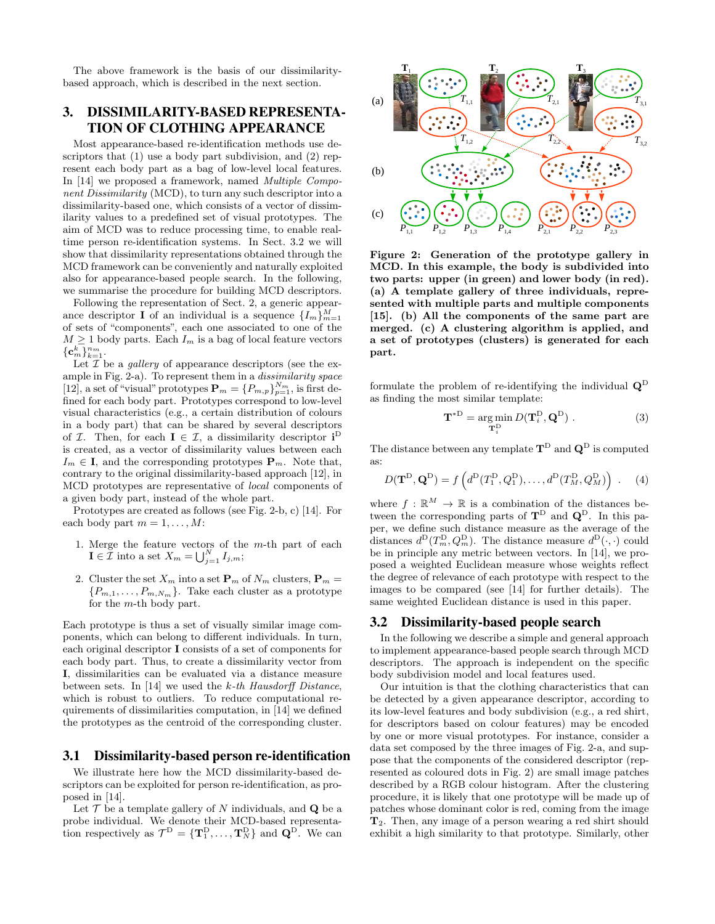The above framework is the basis of our dissimilaritybased approach, which is described in the next section.

## 3. DISSIMILARITY-BASED REPRESENTA-TION OF CLOTHING APPEARANCE

Most appearance-based re-identification methods use descriptors that (1) use a body part subdivision, and (2) represent each body part as a bag of low-level local features. In [14] we proposed a framework, named Multiple Component Dissimilarity (MCD), to turn any such descriptor into a dissimilarity-based one, which consists of a vector of dissimilarity values to a predefined set of visual prototypes. The aim of MCD was to reduce processing time, to enable realtime person re-identification systems. In Sect. 3.2 we will show that dissimilarity representations obtained through the MCD framework can be conveniently and naturally exploited also for appearance-based people search. In the following, we summarise the procedure for building MCD descriptors.

Following the representation of Sect. 2, a generic appearance descriptor **I** of an individual is a sequence  $\{I_m\}_{m=1}^M$ of sets of "components", each one associated to one of the  $M \geq 1$  body parts. Each  $I_m$  is a bag of local feature vectors  $\{{\bf c}^k_m\}_{k=1}^{n_m}.$ 

Let  $\mathcal I$  be a *gallery* of appearance descriptors (see the example in Fig. 2-a). To represent them in a dissimilarity space [12], a set of "visual" prototypes  $\mathbf{P}_m = \{P_{m,p}\}_{p=1}^{N_m}$ , is first defined for each body part. Prototypes correspond to low-level visual characteristics (e.g., a certain distribution of colours in a body part) that can be shared by several descriptors of  $\mathcal{I}$ . Then, for each  $I \in \mathcal{I}$ , a dissimilarity descriptor  $i^D$ is created, as a vector of dissimilarity values between each  $I_m \in \mathbf{I}$ , and the corresponding prototypes  $\mathbf{P}_m$ . Note that, contrary to the original dissimilarity-based approach [12], in MCD prototypes are representative of local components of a given body part, instead of the whole part.

Prototypes are created as follows (see Fig. 2-b, c) [14]. For each body part  $m = 1, \ldots, M$ :

- 1. Merge the feature vectors of the m-th part of each  $\mathbf{I} \in \mathcal{I}$  into a set  $X_m = \bigcup_{j=1}^N I_{j,m};$
- 2. Cluster the set  $X_m$  into a set  $\mathbf{P}_m$  of  $N_m$  clusters,  $\mathbf{P}_m =$  ${P_{m,1}, \ldots, P_{m,N_m}}$ . Take each cluster as a prototype for the m-th body part.

Each prototype is thus a set of visually similar image components, which can belong to different individuals. In turn, each original descriptor I consists of a set of components for each body part. Thus, to create a dissimilarity vector from I, dissimilarities can be evaluated via a distance measure between sets. In  $[14]$  we used the k-th Hausdorff Distance, which is robust to outliers. To reduce computational requirements of dissimilarities computation, in [14] we defined the prototypes as the centroid of the corresponding cluster.

#### 3.1 Dissimilarity-based person re-identification

We illustrate here how the MCD dissimilarity-based descriptors can be exploited for person re-identification, as proposed in [14].

Let  $\mathcal T$  be a template gallery of  $N$  individuals, and  $\mathbf Q$  be a probe individual. We denote their MCD-based representation respectively as  $\mathcal{T}^{\mathcal{D}} = {\{ \mathbf{T}_1^{\mathcal{D}}, \dots, \mathbf{T}_N^{\mathcal{D}} \}}$  and  $\mathbf{Q}^{\mathcal{D}}$ . We can



Figure 2: Generation of the prototype gallery in MCD. In this example, the body is subdivided into two parts: upper (in green) and lower body (in red). (a) A template gallery of three individuals, represented with multiple parts and multiple components [15]. (b) All the components of the same part are merged. (c) A clustering algorithm is applied, and a set of prototypes (clusters) is generated for each part.

formulate the problem of re-identifying the individual  $\mathbf{Q}^{\text{D}}$ as finding the most similar template:

$$
\mathbf{T}^{*D} = \underset{\mathbf{T}_i^D}{\arg\min} D(\mathbf{T}_i^D, \mathbf{Q}^D) . \tag{3}
$$

The distance between any template  $T<sup>D</sup>$  and  $Q<sup>D</sup>$  is computed as:

$$
D(\mathbf{T}^{\mathbf{D}}, \mathbf{Q}^{\mathbf{D}}) = f\left(d^{\mathbf{D}}(T_1^{\mathbf{D}}, Q_1^{\mathbf{D}}), \dots, d^{\mathbf{D}}(T_M^{\mathbf{D}}, Q_M^{\mathbf{D}})\right) .
$$
 (4)

where  $f: \mathbb{R}^M \to \mathbb{R}$  is a combination of the distances between the corresponding parts of  $T^D$  and  $Q^D$ . In this paper, we define such distance measure as the average of the distances  $d^D(T_m^D, Q_m^D)$ . The distance measure  $d^D(\cdot, \cdot)$  could be in principle any metric between vectors. In [14], we proposed a weighted Euclidean measure whose weights reflect the degree of relevance of each prototype with respect to the images to be compared (see [14] for further details). The same weighted Euclidean distance is used in this paper.

#### 3.2 Dissimilarity-based people search

In the following we describe a simple and general approach to implement appearance-based people search through MCD descriptors. The approach is independent on the specific body subdivision model and local features used.

Our intuition is that the clothing characteristics that can be detected by a given appearance descriptor, according to its low-level features and body subdivision (e.g., a red shirt, for descriptors based on colour features) may be encoded by one or more visual prototypes. For instance, consider a data set composed by the three images of Fig. 2-a, and suppose that the components of the considered descriptor (represented as coloured dots in Fig. 2) are small image patches described by a RGB colour histogram. After the clustering procedure, it is likely that one prototype will be made up of patches whose dominant color is red, coming from the image T2. Then, any image of a person wearing a red shirt should exhibit a high similarity to that prototype. Similarly, other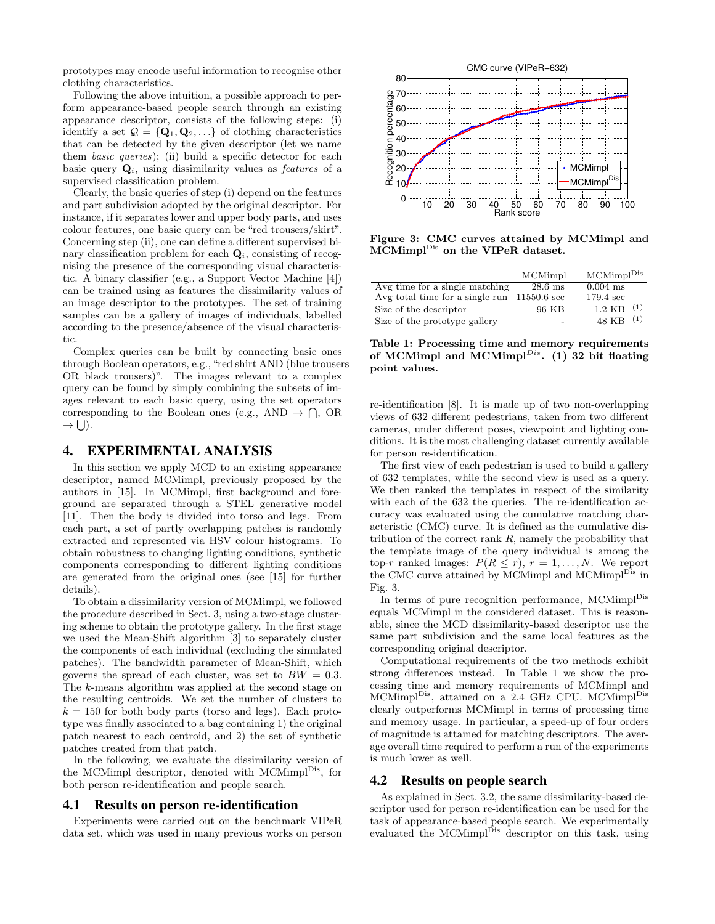prototypes may encode useful information to recognise other clothing characteristics.

Following the above intuition, a possible approach to perform appearance-based people search through an existing appearance descriptor, consists of the following steps: (i) identify a set  $\mathcal{Q} = {\mathbf{Q}_1, \mathbf{Q}_2, \ldots}$  of clothing characteristics that can be detected by the given descriptor (let we name them *basic queries*); (ii) build a specific detector for each basic query  $\mathbf{Q}_i$ , using dissimilarity values as *features* of a supervised classification problem.

Clearly, the basic queries of step (i) depend on the features and part subdivision adopted by the original descriptor. For instance, if it separates lower and upper body parts, and uses colour features, one basic query can be "red trousers/skirt". Concerning step (ii), one can define a different supervised binary classification problem for each  $\mathbf{Q}_i$ , consisting of recognising the presence of the corresponding visual characteristic. A binary classifier (e.g., a Support Vector Machine [4]) can be trained using as features the dissimilarity values of an image descriptor to the prototypes. The set of training samples can be a gallery of images of individuals, labelled according to the presence/absence of the visual characteristic.

Complex queries can be built by connecting basic ones through Boolean operators, e.g., "red shirt AND (blue trousers OR black trousers)". The images relevant to a complex query can be found by simply combining the subsets of images relevant to each basic query, using the set operators corresponding to the Boolean ones (e.g., AND  $\rightarrow \bigcap$ , OR  $\rightarrow$  U).

#### 4. EXPERIMENTAL ANALYSIS

In this section we apply MCD to an existing appearance descriptor, named MCMimpl, previously proposed by the authors in [15]. In MCMimpl, first background and foreground are separated through a STEL generative model [11]. Then the body is divided into torso and legs. From each part, a set of partly overlapping patches is randomly extracted and represented via HSV colour histograms. To obtain robustness to changing lighting conditions, synthetic components corresponding to different lighting conditions are generated from the original ones (see [15] for further details).

To obtain a dissimilarity version of MCMimpl, we followed the procedure described in Sect. 3, using a two-stage clustering scheme to obtain the prototype gallery. In the first stage we used the Mean-Shift algorithm [3] to separately cluster the components of each individual (excluding the simulated patches). The bandwidth parameter of Mean-Shift, which governs the spread of each cluster, was set to  $BW = 0.3$ . The k-means algorithm was applied at the second stage on the resulting centroids. We set the number of clusters to  $k = 150$  for both body parts (torso and legs). Each prototype was finally associated to a bag containing 1) the original patch nearest to each centroid, and 2) the set of synthetic patches created from that patch.

In the following, we evaluate the dissimilarity version of the MCMimpl descriptor, denoted with MCMimpl<sup>Dis</sup>, for both person re-identification and people search.

#### 4.1 Results on person re-identification

Experiments were carried out on the benchmark VIPeR data set, which was used in many previous works on person



Figure 3: CMC curves attained by MCMimpl and  $\widetilde{MCMimpl}^{\text{Dis}}$  on the VIPeR dataset.

|                                 | MCMimpl               | $MCMimpl$ <sup>Dis</sup> |
|---------------------------------|-----------------------|--------------------------|
| Avg time for a single matching  | $28.6$ ms             | $0.004$ ms               |
| Avg total time for a single run | $11550.6 \text{ sec}$ | $179.4 \text{ sec}$      |
| Size of the descriptor          | 96 KB                 | (1)<br>$1.2$ KB          |
| Size of the prototype gallery   |                       | 48 KB $(1)$              |

Table 1: Processing time and memory requirements of MCMimpl and MCMimpl $^{Dis}$ . (1) 32 bit floating point values.

re-identification [8]. It is made up of two non-overlapping views of 632 different pedestrians, taken from two different cameras, under different poses, viewpoint and lighting conditions. It is the most challenging dataset currently available for person re-identification.

The first view of each pedestrian is used to build a gallery of 632 templates, while the second view is used as a query. We then ranked the templates in respect of the similarity with each of the 632 the queries. The re-identification accuracy was evaluated using the cumulative matching characteristic (CMC) curve. It is defined as the cumulative distribution of the correct rank  $R$ , namely the probability that the template image of the query individual is among the top-r ranked images:  $P(R \leq r)$ ,  $r = 1, ..., N$ . We report the CMC curve attained by MCMimpl and MCMimpl<sup>Dis</sup> in Fig. 3.

In terms of pure recognition performance, MCMimpl<sup>Dis</sup> equals MCMimpl in the considered dataset. This is reasonable, since the MCD dissimilarity-based descriptor use the same part subdivision and the same local features as the corresponding original descriptor.

Computational requirements of the two methods exhibit strong differences instead. In Table 1 we show the processing time and memory requirements of MCMimpl and MCMimpl<sup>Dis</sup>, attained on a 2.4 GHz CPU. MCMimpl<sup>Dis</sup> clearly outperforms MCMimpl in terms of processing time and memory usage. In particular, a speed-up of four orders of magnitude is attained for matching descriptors. The average overall time required to perform a run of the experiments is much lower as well.

#### 4.2 Results on people search

As explained in Sect. 3.2, the same dissimilarity-based descriptor used for person re-identification can be used for the task of appearance-based people search. We experimentally evaluated the MCMimpl $\widehat{D}$ <sup>is</sup> descriptor on this task, using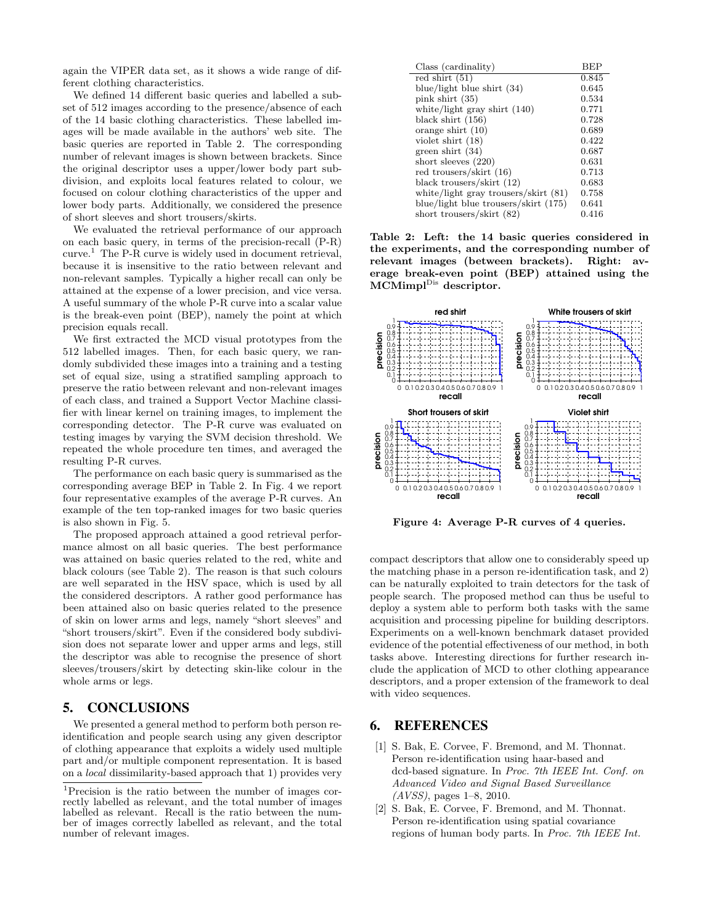again the VIPER data set, as it shows a wide range of different clothing characteristics.

We defined 14 different basic queries and labelled a subset of 512 images according to the presence/absence of each of the 14 basic clothing characteristics. These labelled images will be made available in the authors' web site. The basic queries are reported in Table 2. The corresponding number of relevant images is shown between brackets. Since the original descriptor uses a upper/lower body part subdivision, and exploits local features related to colour, we focused on colour clothing characteristics of the upper and lower body parts. Additionally, we considered the presence of short sleeves and short trousers/skirts.

We evaluated the retrieval performance of our approach on each basic query, in terms of the precision-recall (P-R)  $curve<sup>1</sup>$ . The P-R curve is widely used in document retrieval, because it is insensitive to the ratio between relevant and non-relevant samples. Typically a higher recall can only be attained at the expense of a lower precision, and vice versa. A useful summary of the whole P-R curve into a scalar value is the break-even point (BEP), namely the point at which precision equals recall.

We first extracted the MCD visual prototypes from the 512 labelled images. Then, for each basic query, we randomly subdivided these images into a training and a testing set of equal size, using a stratified sampling approach to preserve the ratio between relevant and non-relevant images of each class, and trained a Support Vector Machine classifier with linear kernel on training images, to implement the corresponding detector. The P-R curve was evaluated on testing images by varying the SVM decision threshold. We repeated the whole procedure ten times, and averaged the resulting P-R curves.

The performance on each basic query is summarised as the corresponding average BEP in Table 2. In Fig. 4 we report four representative examples of the average P-R curves. An example of the ten top-ranked images for two basic queries is also shown in Fig. 5.

The proposed approach attained a good retrieval performance almost on all basic queries. The best performance was attained on basic queries related to the red, white and black colours (see Table 2). The reason is that such colours are well separated in the HSV space, which is used by all the considered descriptors. A rather good performance has been attained also on basic queries related to the presence of skin on lower arms and legs, namely "short sleeves" and "short trousers/skirt". Even if the considered body subdivision does not separate lower and upper arms and legs, still the descriptor was able to recognise the presence of short sleeves/trousers/skirt by detecting skin-like colour in the whole arms or legs.

#### 5. CONCLUSIONS

We presented a general method to perform both person reidentification and people search using any given descriptor of clothing appearance that exploits a widely used multiple part and/or multiple component representation. It is based on a local dissimilarity-based approach that 1) provides very

| Class (cardinality)                    | <b>BEP</b> |
|----------------------------------------|------------|
| red shirt $(51)$                       | 0.845      |
| blue/light blue shirt $(34)$           | 0.645      |
| pink shirt $(35)$                      | 0.534      |
| white/light gray shirt $(140)$         | 0.771      |
| black shirt $(156)$                    | 0.728      |
| orange shirt $(10)$                    | 0.689      |
| violet shirt $(18)$                    | 0.422      |
| green shirt $(34)$                     | 0.687      |
| short sleeves $(220)$                  | 0.631      |
| red trousers/skirt (16)                | 0.713      |
| black trousers/skirt (12)              | 0.683      |
| white/light gray trousers/skirt $(81)$ | 0.758      |
| blue/light blue trousers/skirt $(175)$ | 0.641      |
| short trousers/skirt $(82)$            | 0.416      |

Table 2: Left: the 14 basic queries considered in the experiments, and the corresponding number of relevant images (between brackets). Right: average break-even point (BEP) attained using the  $MCMimpl$ <sup>Dis</sup> descriptor.



Figure 4: Average P-R curves of 4 queries.

compact descriptors that allow one to considerably speed up the matching phase in a person re-identification task, and 2) can be naturally exploited to train detectors for the task of people search. The proposed method can thus be useful to deploy a system able to perform both tasks with the same acquisition and processing pipeline for building descriptors. Experiments on a well-known benchmark dataset provided evidence of the potential effectiveness of our method, in both tasks above. Interesting directions for further research include the application of MCD to other clothing appearance descriptors, and a proper extension of the framework to deal with video sequences.

## 6. REFERENCES

- [1] S. Bak, E. Corvee, F. Bremond, and M. Thonnat. Person re-identification using haar-based and dcd-based signature. In Proc. 7th IEEE Int. Conf. on Advanced Video and Signal Based Surveillance (AVSS), pages 1–8, 2010.
- [2] S. Bak, E. Corvee, F. Bremond, and M. Thonnat. Person re-identification using spatial covariance regions of human body parts. In Proc. 7th IEEE Int.

<sup>1</sup>Precision is the ratio between the number of images correctly labelled as relevant, and the total number of images labelled as relevant. Recall is the ratio between the number of images correctly labelled as relevant, and the total number of relevant images.